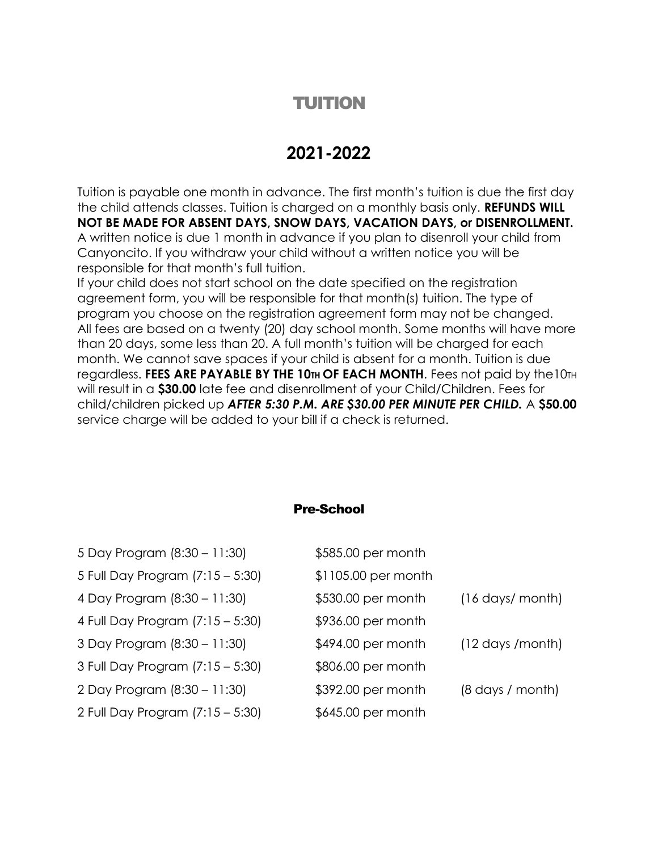# TUITION

## **2021-2022**

Tuition is payable one month in advance. The first month's tuition is due the first day the child attends classes. Tuition is charged on a monthly basis only. **REFUNDS WILL NOT BE MADE FOR ABSENT DAYS, SNOW DAYS, VACATION DAYS, or DISENROLLMENT.**  A written notice is due 1 month in advance if you plan to disenroll your child from Canyoncito. If you withdraw your child without a written notice you will be responsible for that month's full tuition.

If your child does not start school on the date specified on the registration agreement form, you will be responsible for that month(s) tuition. The type of program you choose on the registration agreement form may not be changed. All fees are based on a twenty (20) day school month. Some months will have more than 20 days, some less than 20. A full month's tuition will be charged for each month. We cannot save spaces if your child is absent for a month. Tuition is due regardless. **FEES ARE PAYABLE BY THE 10TH OF EACH MONTH**. Fees not paid by the10TH will result in a **\$30.00** late fee and disenrollment of your Child/Children. Fees for child/children picked up *AFTER 5:30 P.M. ARE \$30.00 PER MINUTE PER CHILD.* A **\$50.00**  service charge will be added to your bill if a check is returned.

#### Pre-School

| 5 Day Program (8:30 - 11:30)     | \$585.00 per month  |                                   |
|----------------------------------|---------------------|-----------------------------------|
| 5 Full Day Program (7:15 - 5:30) | \$1105.00 per month |                                   |
| 4 Day Program (8:30 - 11:30)     | \$530.00 per month  | $(16 \text{ days}/ \text{month})$ |
| 4 Full Day Program (7:15 – 5:30) | \$936.00 per month  |                                   |
| 3 Day Program (8:30 - 11:30)     | \$494.00 per month  | $(12 \text{ days /month})$        |
| 3 Full Day Program (7:15 - 5:30) | \$806.00 per month  |                                   |
| 2 Day Program (8:30 - 11:30)     | \$392.00 per month  | $(8 \text{ days} / \text{month})$ |
| 2 Full Day Program (7:15 – 5:30) | \$645.00 per month  |                                   |